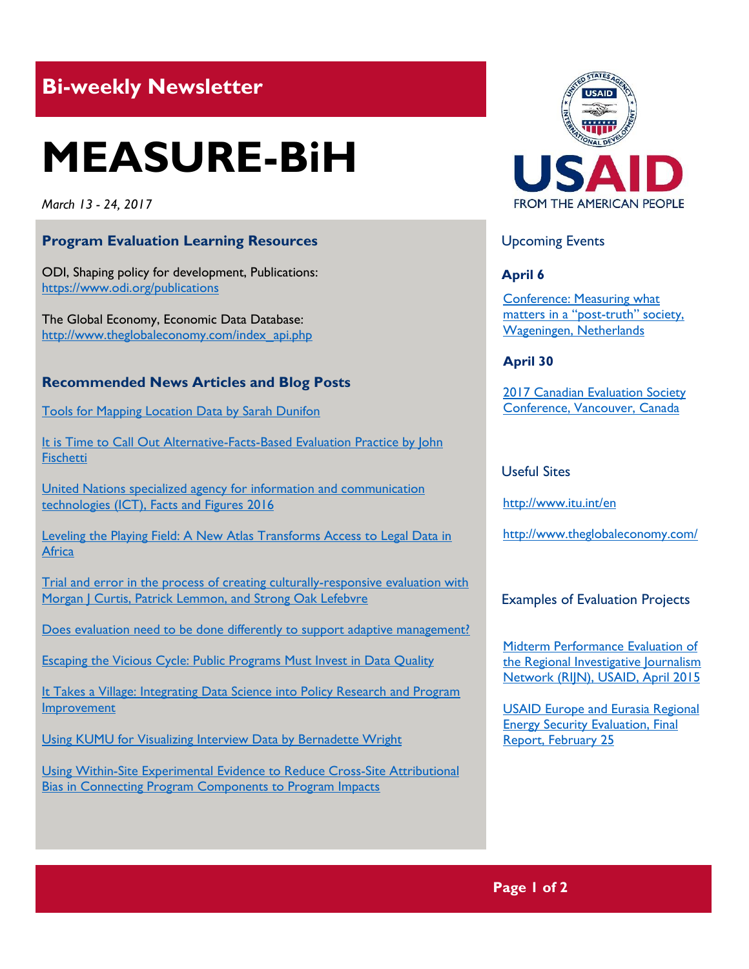# **Bi-weekly Newsletter**

# **MEASURE-BiH**

*March 13 - 24, 2017*

# **Program Evaluation Learning Resources**

ODI, Shaping policy for development, Publications: <https://www.odi.org/publications>

The Global Economy, Economic Data Database: [http://www.theglobaleconomy.com/index\\_api.php](http://www.theglobaleconomy.com/index_api.php)

## **Recommended News Articles and Blog Posts**

[Tools for Mapping Location Data by Sarah Dunifon](http://aea365.org/blog/tools-for-mapping-location-data-by-sarah-dunifon/?utm_source=feedburner&utm_medium=feed&utm_campaign=Feed%3A+aea365+%28AEA365%29)

It is Time to Call Out Alternative-Facts-Based Evaluation Practice by John **[Fischetti](http://aea365.org/blog/create-week-it-is-time-to-call-out-alternative-facts-based-evaluation-practice-by-john-fischetti/?utm_source=feedburner&utm_medium=feed&utm_campaign=Feed%3A+aea365+%28AEA365%29)** 

[United Nations specialized agency for information and communication](http://www.itu.int/en/ITU-D/Statistics/Documents/facts/ICTFactsFigures2016.pdf)  [technologies \(ICT\), Facts and Figures 2016](http://www.itu.int/en/ITU-D/Statistics/Documents/facts/ICTFactsFigures2016.pdf)

[Leveling the Playing Field: A New Atlas Transforms Access to Legal Data in](http://www.worldbank.org/en/news/feature/2017/03/09/leveling-the-playing-field-a-new-atlas-transforms-access-to-legal-data-in-africa)  **[Africa](http://www.worldbank.org/en/news/feature/2017/03/09/leveling-the-playing-field-a-new-atlas-transforms-access-to-legal-data-in-africa)** 

[Trial and error in the process of creating culturally-responsive evaluation with](http://aea365.org/blog/trial-and-error-in-the-process-of-creating-culturally-responsive-evaluation-with-morgan-j-curtis-patrick-lemmon-and-strong-oak-lefebvre/?utm_source=feedburner&utm_medium=feed&utm_campaign=Feed%3A+aea365+%28AEA365%29)  Morgan | Curtis, Patrick Lemmon, and Strong Oak Lefebvre

[Does evaluation need to be done differently to support adaptive management?](http://www.betterevaluation.org/en/blog/evaluation_for_adaptive_management)

[Escaping the Vicious Cycle: Public Programs Must Invest in Data Quality](https://www.mathematica-mpr.com/commentary/public-programs-must-invest-in-data-quality)

It Takes a Village: Integrating Data Science into Policy Research and Program [Improvement](https://www.mathematica-mpr.com/commentary/it-takes-a-village-cire-blog-schmitt)

[Using KUMU for Visualizing Interview Data by Bernadette Wright](http://aea365.org/blog/using-kumu-for-visualizing-interview-data-by-bernadette-wright/?utm_source=feedburner&utm_medium=feed&utm_campaign=Feed%3A+aea365+%28AEA365%29)

[Using Within-Site Experimental Evidence to Reduce Cross-Site Attributional](https://www.acf.hhs.gov/opre/resource/using-within-site-experimental-evidence-to-reduce-cross-site-attributional-bias-in-connecting-program-components-to-program?utm_source=OPRE+News+3%2F9%2F17&utm_campaign=OPRE+News+3%2F9%2F17&utm_medium=email)  [Bias in Connecting Program Components to Program Impacts](https://www.acf.hhs.gov/opre/resource/using-within-site-experimental-evidence-to-reduce-cross-site-attributional-bias-in-connecting-program-components-to-program?utm_source=OPRE+News+3%2F9%2F17&utm_campaign=OPRE+News+3%2F9%2F17&utm_medium=email)



# Upcoming Events

#### **April 6**

[Conference: Measuring what](http://mande.co.uk/conferences/?event_id1=33)  [matters in a "po](http://mande.co.uk/conferences/?event_id1=33)st-truth" society, [Wageningen, Netherlands](http://mande.co.uk/conferences/?event_id1=33)

#### **April 30**

[2017 Canadian Evaluation Society](http://mande.co.uk/conferences/?event_id1=29)  [Conference, Vancouver, Canada](http://mande.co.uk/conferences/?event_id1=29)

## Useful Sites

<http://www.itu.int/en>

<http://www.theglobaleconomy.com/>

#### Examples of Evaluation Projects

[Midterm Performance Evaluation of](http://pdf.usaid.gov/pdf_docs/pa00km3j.pdf)  the Regional Investigative Journalism [Network \(RIJN\), USAID, April 2015](http://pdf.usaid.gov/pdf_docs/pa00km3j.pdf)

[USAID Europe and Eurasia Regional](http://pdf.usaid.gov/pdf_docs/pa00kbdn.pdf)  [Energy Security Evaluation, Final](http://pdf.usaid.gov/pdf_docs/pa00kbdn.pdf)  [Report, February 25](http://pdf.usaid.gov/pdf_docs/pa00kbdn.pdf)